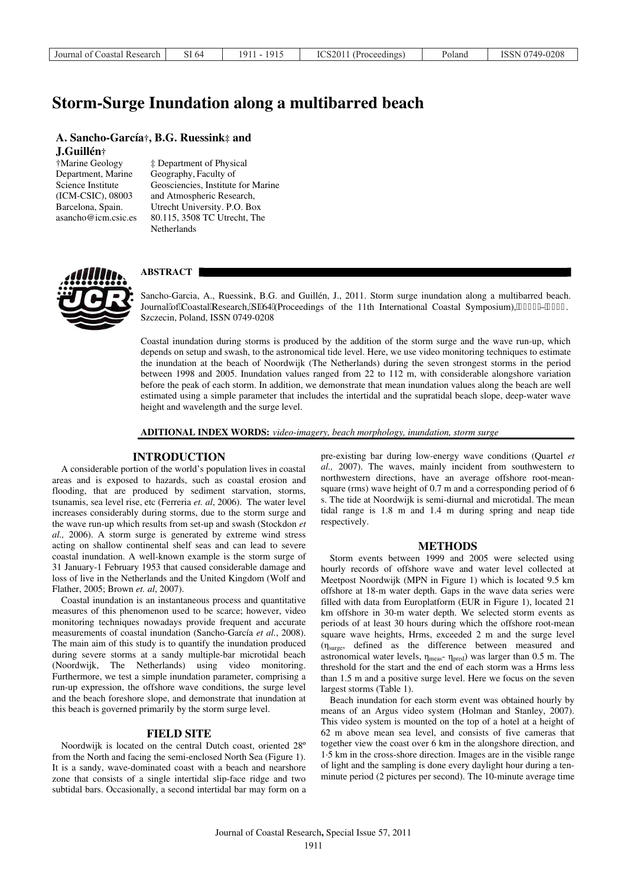| Journal of Coastal Research 1 | SI 64 | 1911 - 1915 | ICS2011 (Proceedings) | Poland | ISSN 0749-0208 |
|-------------------------------|-------|-------------|-----------------------|--------|----------------|
|-------------------------------|-------|-------------|-----------------------|--------|----------------|

# **Storm-Surge Inundation along a multibarred beach**

# **A. Sancho-García†, B.G. Ruessink‡ and J.Guillén†**

†Marine Geology Department, Marine Science Institute (ICM-CSIC), 08003 Barcelona, Spain. asancho@icm.csic.es ‡ Department of Physical Geography, Faculty of Geosciencies, Institute for Marine and Atmospheric Research, Utrecht University. P.O. Box 80.115, 3508 TC Utrecht, The **Netherlands** 



# **ABSTRACT**

Sancho-Garcia, A., Ruessink, B.G. and Guillén, J., 2011. Storm surge inundation along a multibarred beach. Journal"of"Coastal"Research, "SI"64"(Proceedings of the 11th International Coastal Symposium),"3; 33"-"3; 37. Szczecin, Poland, ISSN 0749-0208

Coastal inundation during storms is produced by the addition of the storm surge and the wave run-up, which depends on setup and swash, to the astronomical tide level. Here, we use video monitoring techniques to estimate the inundation at the beach of Noordwijk (The Netherlands) during the seven strongest storms in the period between 1998 and 2005. Inundation values ranged from 22 to 112 m, with considerable alongshore variation before the peak of each storm. In addition, we demonstrate that mean inundation values along the beach are well estimated using a simple parameter that includes the intertidal and the supratidal beach slope, deep-water wave height and wavelength and the surge level.

#### **ADITIONAL INDEX WORDS:** *video-imagery, beach morphology, inundation, storm surge*

# **INTRODUCTION**

A considerable portion of the world's population lives in coastal areas and is exposed to hazards, such as coastal erosion and flooding, that are produced by sediment starvation, storms, tsunamis, sea level rise, etc (Ferreria *et. al*, 2006). The water level increases considerably during storms, due to the storm surge and the wave run-up which results from set-up and swash (Stockdon *et al.,* 2006). A storm surge is generated by extreme wind stress acting on shallow continental shelf seas and can lead to severe coastal inundation. A well-known example is the storm surge of 31 January-1 February 1953 that caused considerable damage and loss of live in the Netherlands and the United Kingdom (Wolf and Flather, 2005; Brown *et. al*, 2007).

Coastal inundation is an instantaneous process and quantitative measures of this phenomenon used to be scarce; however, video monitoring techniques nowadays provide frequent and accurate measurements of coastal inundation (Sancho-García *et al.*, 2008). The main aim of this study is to quantify the inundation produced during severe storms at a sandy multiple-bar microtidal beach (Noordwijk, The Netherlands) using video monitoring. Furthermore, we test a simple inundation parameter, comprising a run-up expression, the offshore wave conditions, the surge level and the beach foreshore slope, and demonstrate that inundation at this beach is governed primarily by the storm surge level.

#### **FIELD SITE**

Noordwijk is located on the central Dutch coast, oriented 28º from the North and facing the semi-enclosed North Sea (Figure 1). It is a sandy, wave-dominated coast with a beach and nearshore zone that consists of a single intertidal slip-face ridge and two subtidal bars. Occasionally, a second intertidal bar may form on a pre-existing bar during low-energy wave conditions (Quartel *et al.,* 2007). The waves, mainly incident from southwestern to northwestern directions, have an average offshore root-meansquare (rms) wave height of 0.7 m and a corresponding period of 6 s. The tide at Noordwijk is semi-diurnal and microtidal. The mean tidal range is 1.8 m and 1.4 m during spring and neap tide respectively.

#### **METHODS**

Storm events between 1999 and 2005 were selected using hourly records of offshore wave and water level collected at Meetpost Noordwijk (MPN in Figure 1) which is located 9.5 km offshore at 18-m water depth. Gaps in the wave data series were filled with data from Europlatform (EUR in Figure 1), located 21 km offshore in 30-m water depth. We selected storm events as periods of at least 30 hours during which the offshore root-mean square wave heights, Hrms, exceeded 2 m and the surge level (ηsurge, defined as the difference between measured and astronomical water levels,  $\eta_{\text{meas}}$ -  $\eta_{\text{pred}}$ ) was larger than 0.5 m. The threshold for the start and the end of each storm was a Hrms less than 1.5 m and a positive surge level. Here we focus on the seven largest storms (Table 1).

Beach inundation for each storm event was obtained hourly by means of an Argus video system (Holman and Stanley, 2007). This video system is mounted on the top of a hotel at a height of 62 m above mean sea level, and consists of five cameras that together view the coast over 6 km in the alongshore direction, and 1·5 km in the cross-shore direction. Images are in the visible range of light and the sampling is done every daylight hour during a tenminute period (2 pictures per second). The 10-minute average time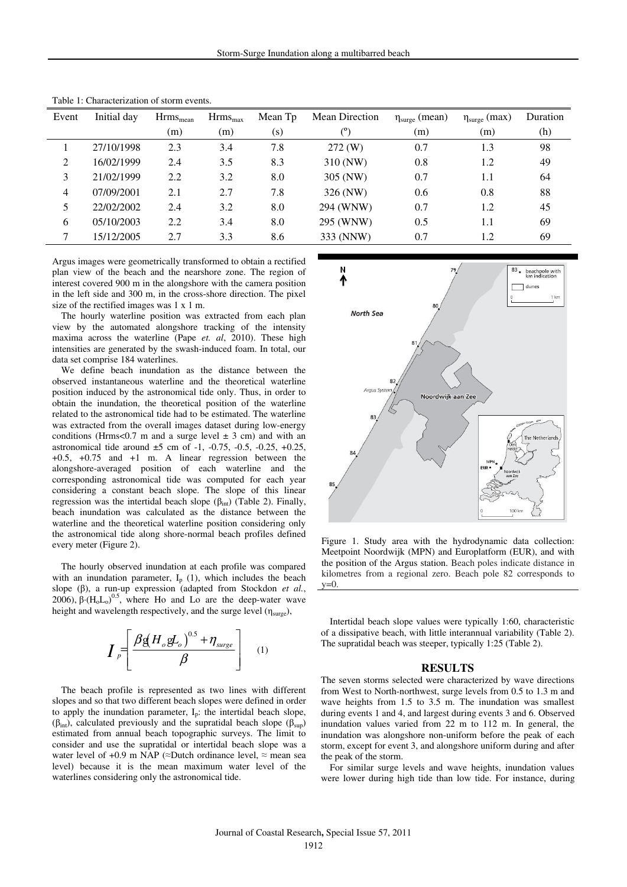| Event | Initial day | $Hrms_{mean}$ | Hrms <sub>max</sub> | Mean Tp | <b>Mean Direction</b> | $\eta_{\text{surge}}$ (mean) | $\eta_{\text{surge}}$ (max) | Duration |
|-------|-------------|---------------|---------------------|---------|-----------------------|------------------------------|-----------------------------|----------|
|       |             | (m)           | (m)                 | (s)     | $^{\rm (o)}$          | (m)                          | (m)                         | (h)      |
|       | 27/10/1998  | 2.3           | 3.4                 | 7.8     | $272 \, (W)$          | 0.7                          | 1.3                         | 98       |
| 2     | 16/02/1999  | 2.4           | 3.5                 | 8.3     | 310 (NW)              | 0.8                          | 1.2                         | 49       |
| 3     | 21/02/1999  | 2.2           | 3.2                 | 8.0     | 305 (NW)              | 0.7                          | 1.1                         | 64       |
| 4     | 07/09/2001  | 2.1           | 2.7                 | 7.8     | 326 (NW)              | 0.6                          | 0.8                         | 88       |
| 5     | 22/02/2002  | 2.4           | 3.2                 | 8.0     | 294 (WNW)             | 0.7                          | 1.2                         | 45       |
| 6     | 05/10/2003  | 2.2           | 3.4                 | 8.0     | 295 (WNW)             | 0.5                          | 1.1                         | 69       |
|       | 15/12/2005  | 2.7           | 3.3                 | 8.6     | 333 (NNW)             | 0.7                          | 1.2                         | 69       |

Table 1: Characterization of storm events.

Argus images were geometrically transformed to obtain a rectified plan view of the beach and the nearshore zone. The region of interest covered 900 m in the alongshore with the camera position in the left side and 300 m, in the cross-shore direction. The pixel size of the rectified images was 1 x 1 m.

The hourly waterline position was extracted from each plan view by the automated alongshore tracking of the intensity maxima across the waterline (Pape *et. al*, 2010). These high intensities are generated by the swash-induced foam. In total, our data set comprise 184 waterlines.

We define beach inundation as the distance between the observed instantaneous waterline and the theoretical waterline position induced by the astronomical tide only. Thus, in order to obtain the inundation, the theoretical position of the waterline related to the astronomical tide had to be estimated. The waterline was extracted from the overall images dataset during low-energy conditions (Hrms<0.7 m and a surge level  $\pm$  3 cm) and with an astronomical tide around  $\pm 5$  cm of -1, -0.75, -0.5, -0.25, +0.25,  $+0.5$ ,  $+0.75$  and  $+1$  m. A linear regression between the alongshore-averaged position of each waterline and the corresponding astronomical tide was computed for each year considering a constant beach slope. The slope of this linear regression was the intertidal beach slope ( $β<sub>int</sub>$ ) (Table 2). Finally, beach inundation was calculated as the distance between the waterline and the theoretical waterline position considering only the astronomical tide along shore-normal beach profiles defined every meter (Figure 2).

The hourly observed inundation at each profile was compared with an inundation parameter,  $I_p$  (1), which includes the beach slope (β), a run-up expression (adapted from Stockdon *et al.*, 2006),  $\beta \cdot (H_0 L_0)^{0.5}$ , where Ho and Lo are the deep-water wave height and wavelength respectively, and the surge level  $(\eta_{\text{surge}})$ ,

$$
\boldsymbol{I}_{P} = \left[ \frac{\beta g (H_{o} g L_{o})^{0.5} + \eta_{\text{surge}}}{\beta} \right] \quad (1)
$$

The beach profile is represented as two lines with different slopes and so that two different beach slopes were defined in order to apply the inundation parameter,  $I<sub>p</sub>$ : the intertidal beach slope, ( $β<sub>int</sub>$ ), calculated previously and the supratidal beach slope ( $β<sub>sun</sub>$ ) estimated from annual beach topographic surveys. The limit to consider and use the supratidal or intertidal beach slope was a water level of +0.9 m NAP ( $\approx$ Dutch ordinance level,  $\approx$  mean sea level) because it is the mean maximum water level of the waterlines considering only the astronomical tide.



Figure 1. Study area with the hydrodynamic data collection: Meetpoint Noordwijk (MPN) and Europlatform (EUR), and with the position of the Argus station. Beach poles indicate distance in kilometres from a regional zero. Beach pole 82 corresponds to  $y=0$ .

Intertidal beach slope values were typically 1:60, characteristic of a dissipative beach, with little interannual variability (Table 2). The supratidal beach was steeper, typically 1:25 (Table 2).

#### **RESULTS**

The seven storms selected were characterized by wave directions from West to North-northwest, surge levels from 0.5 to 1.3 m and wave heights from 1.5 to 3.5 m. The inundation was smallest during events 1 and 4, and largest during events 3 and 6. Observed inundation values varied from 22 m to 112 m. In general, the inundation was alongshore non-uniform before the peak of each storm, except for event 3, and alongshore uniform during and after the peak of the storm.

For similar surge levels and wave heights, inundation values were lower during high tide than low tide. For instance, during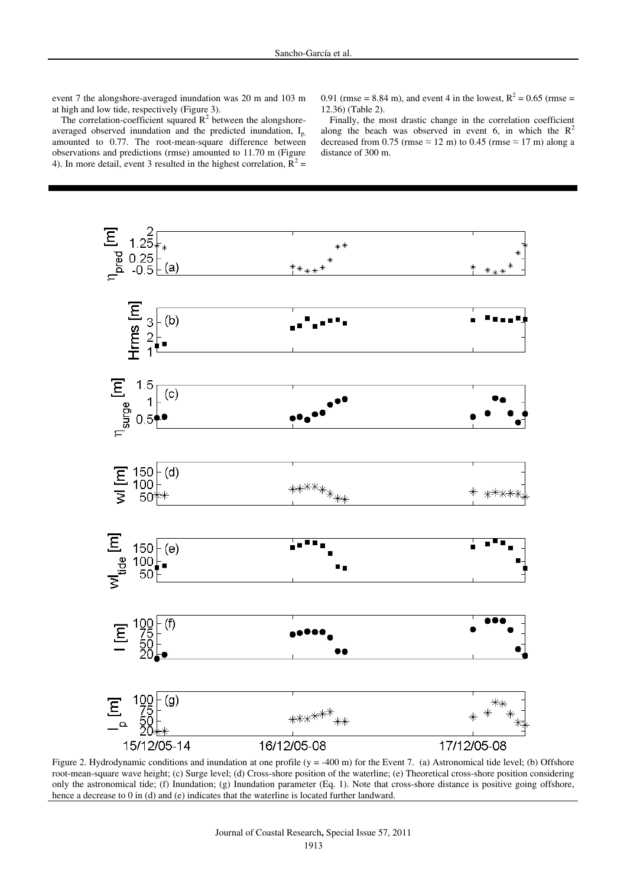event 7 the alongshore-averaged inundation was 20 m and 103 m at high and low tide, respectively (Figure 3).

0.91 (rmse = 8.84 m), and event 4 in the lowest,  $R^2 = 0.65$  (rmse = 12.36) (Table 2).

The correlation-coefficient squared  $R^2$  between the alongshoreaveraged observed inundation and the predicted inundation, Ip, amounted to 0.77. The root-mean-square difference between observations and predictions (rmse) amounted to 11.70 m (Figure 4). In more detail, event 3 resulted in the highest correlation,  $\mathbf{R}^2 =$ 

Finally, the most drastic change in the correlation coefficient along the beach was observed in event 6, in which the  $R^2$ decreased from 0.75 (rmse  $\approx$  12 m) to 0.45 (rmse  $\approx$  17 m) along a distance of 300 m.



Figure 2. Hydrodynamic conditions and inundation at one profile (y = -400 m) for the Event 7. (a) Astronomical tide level; (b) Offshore root-mean-square wave height; (c) Surge level; (d) Cross-shore position of the waterline; (e) Theoretical cross-shore position considering only the astronomical tide; (f) Inundation; (g) Inundation parameter (Eq. 1). Note that cross-shore distance is positive going offshore, hence a decrease to 0 in (d) and (e) indicates that the waterline is located further landward.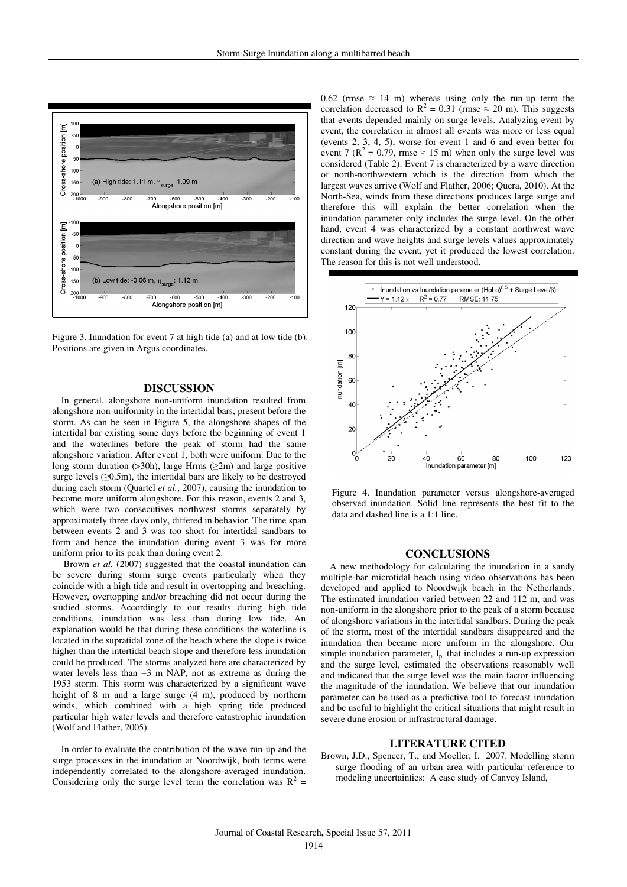

Figure 3. Inundation for event 7 at high tide (a) and at low tide (b). Positions are given in Argus coordinates.

#### **DISCUSSION**

In general, alongshore non-uniform inundation resulted from alongshore non-uniformity in the intertidal bars, present before the storm. As can be seen in Figure 5, the alongshore shapes of the intertidal bar existing some days before the beginning of event 1 and the waterlines before the peak of storm had the same alongshore variation. After event 1, both were uniform. Due to the long storm duration ( $>30h$ ), large Hrms ( $\geq 2m$ ) and large positive surge levels (≥0.5m), the intertidal bars are likely to be destroyed during each storm (Quartel *et al.*, 2007), causing the inundation to become more uniform alongshore. For this reason, events 2 and 3, which were two consecutives northwest storms separately by approximately three days only, differed in behavior. The time span between events 2 and 3 was too short for intertidal sandbars to form and hence the inundation during event 3 was for more uniform prior to its peak than during event 2.

 Brown *et al.* (2007) suggested that the coastal inundation can be severe during storm surge events particularly when they coincide with a high tide and result in overtopping and breaching. However, overtopping and/or breaching did not occur during the studied storms. Accordingly to our results during high tide conditions, inundation was less than during low tide. An explanation would be that during these conditions the waterline is located in the supratidal zone of the beach where the slope is twice higher than the intertidal beach slope and therefore less inundation could be produced. The storms analyzed here are characterized by water levels less than +3 m NAP, not as extreme as during the 1953 storm. This storm was characterized by a significant wave height of 8 m and a large surge (4 m), produced by northern winds, which combined with a high spring tide produced particular high water levels and therefore catastrophic inundation (Wolf and Flather, 2005).

In order to evaluate the contribution of the wave run-up and the surge processes in the inundation at Noordwijk, both terms were independently correlated to the alongshore-averaged inundation. Considering only the surge level term the correlation was  $R^2$  = 0.62 (rmse  $\approx$  14 m) whereas using only the run-up term the correlation decreased to  $R^2 = 0.31$  (rmse  $\approx 20$  m). This suggests that events depended mainly on surge levels. Analyzing event by event, the correlation in almost all events was more or less equal (events 2, 3, 4, 5), worse for event 1 and 6 and even better for event 7 ( $\mathbb{R}^2 = 0.79$ , rmse  $\approx 15$  m) when only the surge level was considered (Table 2). Event 7 is characterized by a wave direction of north-northwestern which is the direction from which the largest waves arrive (Wolf and Flather, 2006; Quera, 2010). At the North-Sea, winds from these directions produces large surge and therefore this will explain the better correlation when the inundation parameter only includes the surge level. On the other hand, event 4 was characterized by a constant northwest wave direction and wave heights and surge levels values approximately constant during the event, yet it produced the lowest correlation. The reason for this is not well understood.



Figure 4. Inundation parameter versus alongshore-averaged observed inundation. Solid line represents the best fit to the data and dashed line is a 1:1 line.

### **CONCLUSIONS**

A new methodology for calculating the inundation in a sandy multiple-bar microtidal beach using video observations has been developed and applied to Noordwijk beach in the Netherlands. The estimated inundation varied between 22 and 112 m, and was non-uniform in the alongshore prior to the peak of a storm because of alongshore variations in the intertidal sandbars. During the peak of the storm, most of the intertidal sandbars disappeared and the inundation then became more uniform in the alongshore. Our simple inundation parameter.  $I<sub>p</sub>$ , that includes a run-up expression and the surge level, estimated the observations reasonably well and indicated that the surge level was the main factor influencing the magnitude of the inundation. We believe that our inundation parameter can be used as a predictive tool to forecast inundation and be useful to highlight the critical situations that might result in severe dune erosion or infrastructural damage.

# **LITERATURE CITED**

Brown, J.D., Spencer, T., and Moeller, I. 2007. Modelling storm surge flooding of an urban area with particular reference to modeling uncertainties: A case study of Canvey Island,